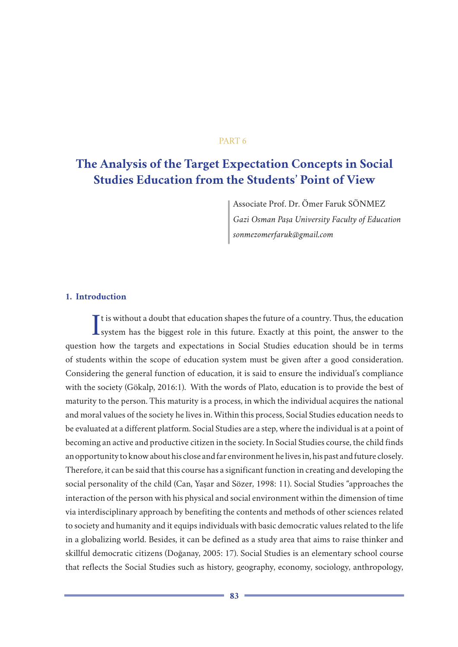### PART 6

# **The Analysis of the Target Expectation Concepts in Social Studies Education from the Students' Point of View**

Associate Prof. Dr. Ömer Faruk SÖNMEZ *Gazi Osman Paşa University Faculty of Education sonmezomerfaruk@gmail.com*

## **1. Introduction**

It is without a doubt that education shapes the future of a country. Thus, the education system has the biggest role in this future. Exactly at this point, the answer to the I t is without a doubt that education shapes the future of a country. Thus, the education question how the targets and expectations in Social Studies education should be in terms of students within the scope of education system must be given after a good consideration. Considering the general function of education, it is said to ensure the individual's compliance with the society (Gökalp, 2016:1). With the words of Plato, education is to provide the best of maturity to the person. This maturity is a process, in which the individual acquires the national and moral values of the society he lives in. Within this process, Social Studies education needs to be evaluated at a different platform. Social Studies are a step, where the individual is at a point of becoming an active and productive citizen in the society. In Social Studies course, the child finds an opportunity to know about his close and far environment he lives in, his past and future closely. Therefore, it can be said that this course has a significant function in creating and developing the social personality of the child (Can, Yaşar and Sözer, 1998: 11). Social Studies "approaches the interaction of the person with his physical and social environment within the dimension of time via interdisciplinary approach by benefiting the contents and methods of other sciences related to society and humanity and it equips individuals with basic democratic values related to the life in a globalizing world. Besides, it can be defined as a study area that aims to raise thinker and skillful democratic citizens (Doğanay, 2005: 17). Social Studies is an elementary school course that reflects the Social Studies such as history, geography, economy, sociology, anthropology,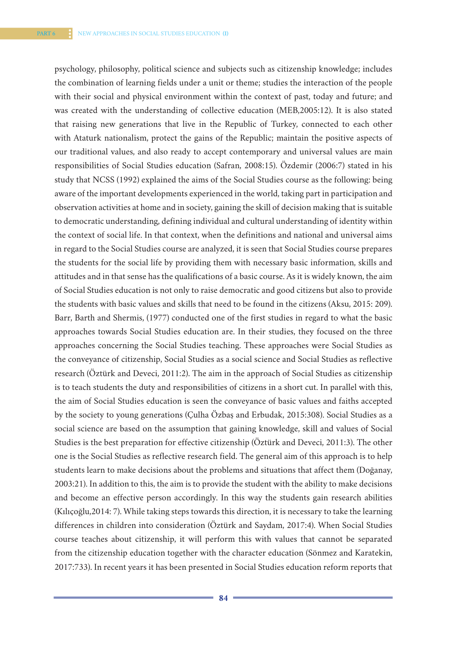psychology, philosophy, political science and subjects such as citizenship knowledge; includes the combination of learning fields under a unit or theme; studies the interaction of the people with their social and physical environment within the context of past, today and future; and was created with the understanding of collective education (MEB,2005:12). It is also stated that raising new generations that live in the Republic of Turkey, connected to each other with Ataturk nationalism, protect the gains of the Republic; maintain the positive aspects of our traditional values, and also ready to accept contemporary and universal values are main responsibilities of Social Studies education (Safran, 2008:15). Özdemir (2006:7) stated in his study that NCSS (1992) explained the aims of the Social Studies course as the following: being aware of the important developments experienced in the world, taking part in participation and observation activities at home and in society, gaining the skill of decision making that is suitable to democratic understanding, defining individual and cultural understanding of identity within the context of social life. In that context, when the definitions and national and universal aims in regard to the Social Studies course are analyzed, it is seen that Social Studies course prepares the students for the social life by providing them with necessary basic information, skills and attitudes and in that sense has the qualifications of a basic course. As it is widely known, the aim of Social Studies education is not only to raise democratic and good citizens but also to provide the students with basic values and skills that need to be found in the citizens (Aksu, 2015: 209). Barr, Barth and Shermis, (1977) conducted one of the first studies in regard to what the basic approaches towards Social Studies education are. In their studies, they focused on the three approaches concerning the Social Studies teaching. These approaches were Social Studies as the conveyance of citizenship, Social Studies as a social science and Social Studies as reflective research (Öztürk and Deveci, 2011:2). The aim in the approach of Social Studies as citizenship is to teach students the duty and responsibilities of citizens in a short cut. In parallel with this, the aim of Social Studies education is seen the conveyance of basic values and faiths accepted by the society to young generations (Çulha Özbaş and Erbudak, 2015:308). Social Studies as a social science are based on the assumption that gaining knowledge, skill and values of Social Studies is the best preparation for effective citizenship (Öztürk and Deveci, 2011:3). The other one is the Social Studies as reflective research field. The general aim of this approach is to help students learn to make decisions about the problems and situations that affect them (Doğanay, 2003:21). In addition to this, the aim is to provide the student with the ability to make decisions and become an effective person accordingly. In this way the students gain research abilities (Kılıçoğlu,2014: 7). While taking steps towards this direction, it is necessary to take the learning differences in children into consideration (Öztürk and Saydam, 2017:4). When Social Studies course teaches about citizenship, it will perform this with values that cannot be separated from the citizenship education together with the character education (Sönmez and Karatekin, 2017:733). In recent years it has been presented in Social Studies education reform reports that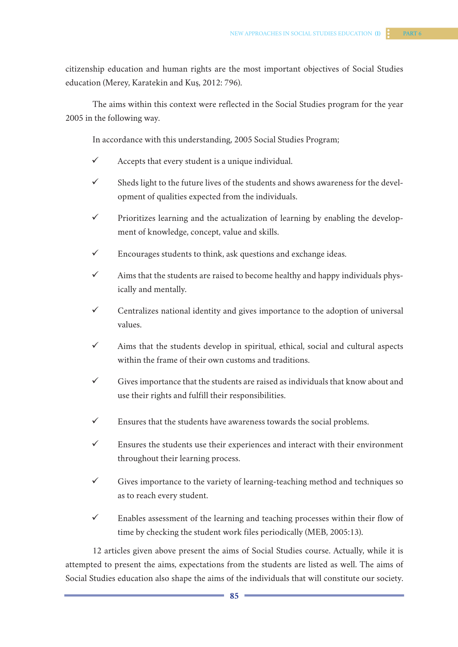citizenship education and human rights are the most important objectives of Social Studies education (Merey, Karatekin and Kuş, 2012: 796).

The aims within this context were reflected in the Social Studies program for the year 2005 in the following way.

In accordance with this understanding, 2005 Social Studies Program;

- $\checkmark$  Accepts that every student is a unique individual.
- $\checkmark$  Sheds light to the future lives of the students and shows awareness for the development of qualities expected from the individuals.
- $\checkmark$  Prioritizes learning and the actualization of learning by enabling the development of knowledge, concept, value and skills.
- $\checkmark$  Encourages students to think, ask questions and exchange ideas.
- $\checkmark$  Aims that the students are raised to become healthy and happy individuals physically and mentally.
- $\checkmark$  Centralizes national identity and gives importance to the adoption of universal values.
- $\checkmark$  Aims that the students develop in spiritual, ethical, social and cultural aspects within the frame of their own customs and traditions.
- $\checkmark$  Gives importance that the students are raised as individuals that know about and use their rights and fulfill their responsibilities.
- $\checkmark$  Ensures that the students have awareness towards the social problems.
- $\checkmark$  Ensures the students use their experiences and interact with their environment throughout their learning process.
- $\checkmark$  Gives importance to the variety of learning-teaching method and techniques so as to reach every student.
- $\checkmark$  Enables assessment of the learning and teaching processes within their flow of time by checking the student work files periodically (MEB, 2005:13).

12 articles given above present the aims of Social Studies course. Actually, while it is attempted to present the aims, expectations from the students are listed as well. The aims of Social Studies education also shape the aims of the individuals that will constitute our society.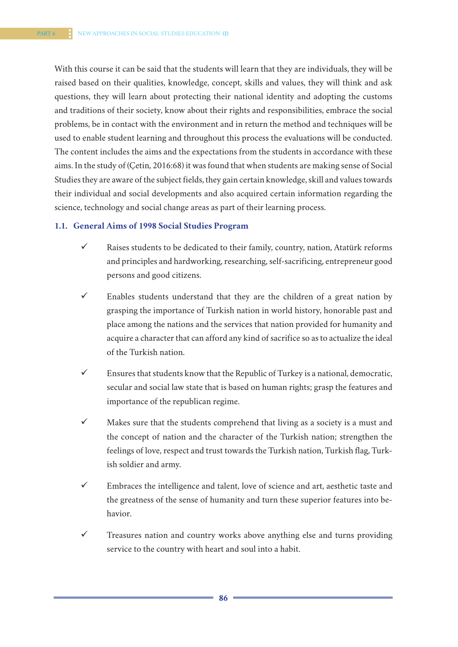With this course it can be said that the students will learn that they are individuals, they will be raised based on their qualities, knowledge, concept, skills and values, they will think and ask questions, they will learn about protecting their national identity and adopting the customs and traditions of their society, know about their rights and responsibilities, embrace the social problems, be in contact with the environment and in return the method and techniques will be used to enable student learning and throughout this process the evaluations will be conducted. The content includes the aims and the expectations from the students in accordance with these aims. In the study of (Çetin, 2016:68) it was found that when students are making sense of Social Studies they are aware of the subject fields, they gain certain knowledge, skill and values towards their individual and social developments and also acquired certain information regarding the science, technology and social change areas as part of their learning process.

#### **1.1. General Aims of 1998 Social Studies Program**

- $\checkmark$  Raises students to be dedicated to their family, country, nation, Atatürk reforms and principles and hardworking, researching, self-sacrificing, entrepreneur good persons and good citizens.
- $\checkmark$  Enables students understand that they are the children of a great nation by grasping the importance of Turkish nation in world history, honorable past and place among the nations and the services that nation provided for humanity and acquire a character that can afford any kind of sacrifice so as to actualize the ideal of the Turkish nation.
- $\checkmark$  Ensures that students know that the Republic of Turkey is a national, democratic, secular and social law state that is based on human rights; grasp the features and importance of the republican regime.
- $\checkmark$  Makes sure that the students comprehend that living as a society is a must and the concept of nation and the character of the Turkish nation; strengthen the feelings of love, respect and trust towards the Turkish nation, Turkish flag, Turkish soldier and army.
- $\checkmark$  Embraces the intelligence and talent, love of science and art, aesthetic taste and the greatness of the sense of humanity and turn these superior features into behavior.
- $\checkmark$  Treasures nation and country works above anything else and turns providing service to the country with heart and soul into a habit.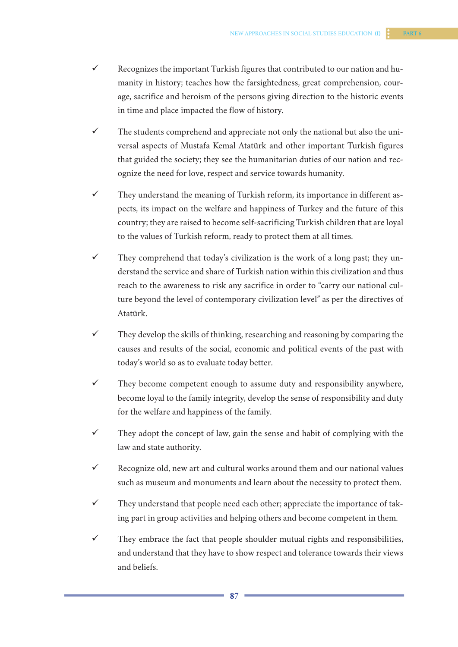- $\checkmark$  Recognizes the important Turkish figures that contributed to our nation and humanity in history; teaches how the farsightedness, great comprehension, courage, sacrifice and heroism of the persons giving direction to the historic events in time and place impacted the flow of history.
- $\checkmark$  The students comprehend and appreciate not only the national but also the universal aspects of Mustafa Kemal Atatürk and other important Turkish figures that guided the society; they see the humanitarian duties of our nation and recognize the need for love, respect and service towards humanity.
- $\checkmark$  They understand the meaning of Turkish reform, its importance in different aspects, its impact on the welfare and happiness of Turkey and the future of this country; they are raised to become self-sacrificing Turkish children that are loyal to the values of Turkish reform, ready to protect them at all times.
- $\checkmark$  They comprehend that today's civilization is the work of a long past; they understand the service and share of Turkish nation within this civilization and thus reach to the awareness to risk any sacrifice in order to "carry our national culture beyond the level of contemporary civilization level" as per the directives of Atatürk.
- $\checkmark$  They develop the skills of thinking, researching and reasoning by comparing the causes and results of the social, economic and political events of the past with today's world so as to evaluate today better.
- $\checkmark$  They become competent enough to assume duty and responsibility anywhere, become loyal to the family integrity, develop the sense of responsibility and duty for the welfare and happiness of the family.
- $\checkmark$  They adopt the concept of law, gain the sense and habit of complying with the law and state authority.
- $\checkmark$  Recognize old, new art and cultural works around them and our national values such as museum and monuments and learn about the necessity to protect them.
- $\checkmark$  They understand that people need each other; appreciate the importance of taking part in group activities and helping others and become competent in them.
- $\checkmark$  They embrace the fact that people shoulder mutual rights and responsibilities, and understand that they have to show respect and tolerance towards their views and beliefs.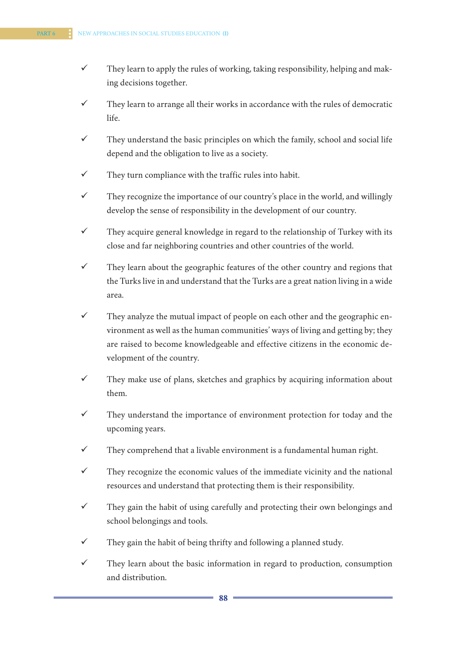- $\checkmark$  They learn to apply the rules of working, taking responsibility, helping and making decisions together.
- $\checkmark$  They learn to arrange all their works in accordance with the rules of democratic life.
- $\checkmark$  They understand the basic principles on which the family, school and social life depend and the obligation to live as a society.
- $\checkmark$  They turn compliance with the traffic rules into habit.
- $\checkmark$  They recognize the importance of our country's place in the world, and willingly develop the sense of responsibility in the development of our country.
- $\checkmark$  They acquire general knowledge in regard to the relationship of Turkey with its close and far neighboring countries and other countries of the world.
- $\checkmark$  They learn about the geographic features of the other country and regions that the Turks live in and understand that the Turks are a great nation living in a wide area.
- $\checkmark$  They analyze the mutual impact of people on each other and the geographic environment as well as the human communities' ways of living and getting by; they are raised to become knowledgeable and effective citizens in the economic development of the country.
- $\checkmark$  They make use of plans, sketches and graphics by acquiring information about them.
- $\checkmark$  They understand the importance of environment protection for today and the upcoming years.
- $\checkmark$  They comprehend that a livable environment is a fundamental human right.
- $\checkmark$  They recognize the economic values of the immediate vicinity and the national resources and understand that protecting them is their responsibility.
- $\checkmark$  They gain the habit of using carefully and protecting their own belongings and school belongings and tools.
- $\checkmark$  They gain the habit of being thrifty and following a planned study.
- $\checkmark$  They learn about the basic information in regard to production, consumption and distribution.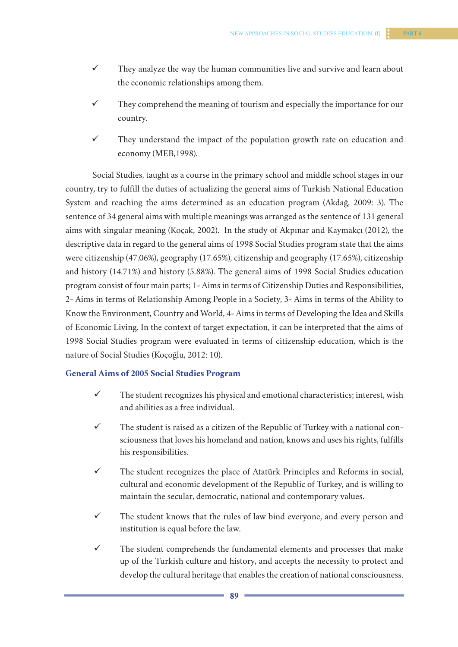- $\checkmark$  They analyze the way the human communities live and survive and learn about the economic relationships among them.
- $\checkmark$  They comprehend the meaning of tourism and especially the importance for our country.
- $\checkmark$  They understand the impact of the population growth rate on education and economy (MEB,1998).

Social Studies, taught as a course in the primary school and middle school stages in our country, try to fulfill the duties of actualizing the general aims of Turkish National Education System and reaching the aims determined as an education program (Akdağ, 2009: 3). The sentence of 34 general aims with multiple meanings was arranged as the sentence of 131 general aims with singular meaning (Koçak, 2002). In the study of Akpınar and Kaymakçı (2012), the descriptive data in regard to the general aims of 1998 Social Studies program state that the aims were citizenship (47.06%), geography (17.65%), citizenship and geography (17.65%), citizenship and history (14.71%) and history (5.88%). The general aims of 1998 Social Studies education program consist of four main parts; 1- Aims in terms of Citizenship Duties and Responsibilities, 2- Aims in terms of Relationship Among People in a Society, 3- Aims in terms of the Ability to Know the Environment, Country and World, 4- Aims in terms of Developing the Idea and Skills of Economic Living. In the context of target expectation, it can be interpreted that the aims of 1998 Social Studies program were evaluated in terms of citizenship education, which is the nature of Social Studies (Koçoğlu, 2012: 10).

# **General Aims of 2005 Social Studies Program**

- $\checkmark$  The student recognizes his physical and emotional characteristics; interest, wish and abilities as a free individual.
- $\checkmark$  The student is raised as a citizen of the Republic of Turkey with a national consciousness that loves his homeland and nation, knows and uses his rights, fulfills his responsibilities.
- $\checkmark$  The student recognizes the place of Atatürk Principles and Reforms in social, cultural and economic development of the Republic of Turkey, and is willing to maintain the secular, democratic, national and contemporary values.
- $\checkmark$  The student knows that the rules of law bind everyone, and every person and institution is equal before the law.
- $\checkmark$  The student comprehends the fundamental elements and processes that make up of the Turkish culture and history, and accepts the necessity to protect and develop the cultural heritage that enables the creation of national consciousness.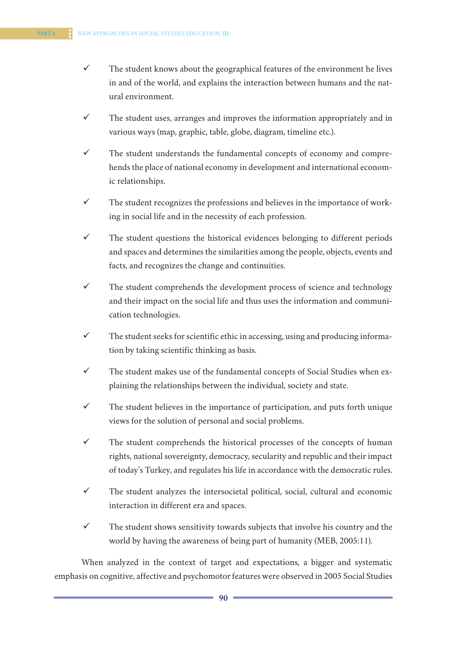- $\checkmark$  The student knows about the geographical features of the environment he lives in and of the world, and explains the interaction between humans and the natural environment.
- $\checkmark$  The student uses, arranges and improves the information appropriately and in various ways (map, graphic, table, globe, diagram, timeline etc.).
- $\checkmark$  The student understands the fundamental concepts of economy and comprehends the place of national economy in development and international economic relationships.
- $\checkmark$  The student recognizes the professions and believes in the importance of working in social life and in the necessity of each profession.
- $\checkmark$  The student questions the historical evidences belonging to different periods and spaces and determines the similarities among the people, objects, events and facts, and recognizes the change and continuities.
- $\checkmark$  The student comprehends the development process of science and technology and their impact on the social life and thus uses the information and communication technologies.
- $\checkmark$  The student seeks for scientific ethic in accessing, using and producing information by taking scientific thinking as basis.
- $\checkmark$  The student makes use of the fundamental concepts of Social Studies when explaining the relationships between the individual, society and state.
- $\checkmark$  The student believes in the importance of participation, and puts forth unique views for the solution of personal and social problems.
- $\checkmark$  The student comprehends the historical processes of the concepts of human rights, national sovereignty, democracy, secularity and republic and their impact of today's Turkey, and regulates his life in accordance with the democratic rules.
- $\checkmark$  The student analyzes the intersocietal political, social, cultural and economic interaction in different era and spaces.
- $\checkmark$  The student shows sensitivity towards subjects that involve his country and the world by having the awareness of being part of humanity (MEB, 2005:11).

When analyzed in the context of target and expectations, a bigger and systematic emphasis on cognitive, affective and psychomotor features were observed in 2005 Social Studies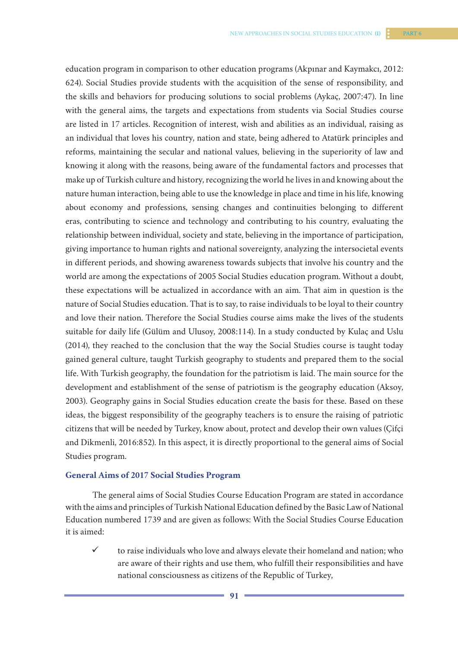education program in comparison to other education programs (Akpınar and Kaymakcı, 2012: 624). Social Studies provide students with the acquisition of the sense of responsibility, and the skills and behaviors for producing solutions to social problems (Aykaç, 2007:47). In line with the general aims, the targets and expectations from students via Social Studies course are listed in 17 articles. Recognition of interest, wish and abilities as an individual, raising as an individual that loves his country, nation and state, being adhered to Atatürk principles and reforms, maintaining the secular and national values, believing in the superiority of law and knowing it along with the reasons, being aware of the fundamental factors and processes that make up of Turkish culture and history, recognizing the world he lives in and knowing about the nature human interaction, being able to use the knowledge in place and time in his life, knowing about economy and professions, sensing changes and continuities belonging to different eras, contributing to science and technology and contributing to his country, evaluating the relationship between individual, society and state, believing in the importance of participation, giving importance to human rights and national sovereignty, analyzing the intersocietal events in different periods, and showing awareness towards subjects that involve his country and the world are among the expectations of 2005 Social Studies education program. Without a doubt, these expectations will be actualized in accordance with an aim. That aim in question is the nature of Social Studies education. That is to say, to raise individuals to be loyal to their country and love their nation. Therefore the Social Studies course aims make the lives of the students suitable for daily life (Gülüm and Ulusoy, 2008:114). In a study conducted by Kulaç and Uslu (2014), they reached to the conclusion that the way the Social Studies course is taught today gained general culture, taught Turkish geography to students and prepared them to the social life. With Turkish geography, the foundation for the patriotism is laid. The main source for the development and establishment of the sense of patriotism is the geography education (Aksoy, 2003). Geography gains in Social Studies education create the basis for these. Based on these ideas, the biggest responsibility of the geography teachers is to ensure the raising of patriotic citizens that will be needed by Turkey, know about, protect and develop their own values (Çifçi and Dikmenli, 2016:852). In this aspect, it is directly proportional to the general aims of Social Studies program.

#### **General Aims of 2017 Social Studies Program**

The general aims of Social Studies Course Education Program are stated in accordance with the aims and principles of Turkish National Education defined by the Basic Law of National Education numbered 1739 and are given as follows: With the Social Studies Course Education it is aimed:

 $\checkmark$  to raise individuals who love and always elevate their homeland and nation; who are aware of their rights and use them, who fulfill their responsibilities and have national consciousness as citizens of the Republic of Turkey,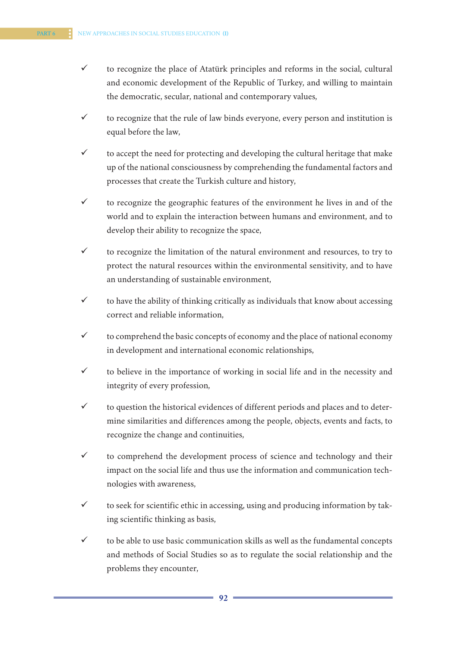- $\checkmark$  to recognize the place of Atatürk principles and reforms in the social, cultural and economic development of the Republic of Turkey, and willing to maintain the democratic, secular, national and contemporary values,
- $\checkmark$  to recognize that the rule of law binds everyone, every person and institution is equal before the law,
- $\checkmark$  to accept the need for protecting and developing the cultural heritage that make up of the national consciousness by comprehending the fundamental factors and processes that create the Turkish culture and history,
- $\checkmark$  to recognize the geographic features of the environment he lives in and of the world and to explain the interaction between humans and environment, and to develop their ability to recognize the space,
- $\checkmark$  to recognize the limitation of the natural environment and resources, to try to protect the natural resources within the environmental sensitivity, and to have an understanding of sustainable environment,
- $\checkmark$  to have the ability of thinking critically as individuals that know about accessing correct and reliable information,
- $\checkmark$  to comprehend the basic concepts of economy and the place of national economy in development and international economic relationships,
- $\checkmark$  to believe in the importance of working in social life and in the necessity and integrity of every profession,
- $\checkmark$  to question the historical evidences of different periods and places and to determine similarities and differences among the people, objects, events and facts, to recognize the change and continuities,
- $\checkmark$  to comprehend the development process of science and technology and their impact on the social life and thus use the information and communication technologies with awareness,
- $\checkmark$  to seek for scientific ethic in accessing, using and producing information by taking scientific thinking as basis,
- $\checkmark$  to be able to use basic communication skills as well as the fundamental concepts and methods of Social Studies so as to regulate the social relationship and the problems they encounter,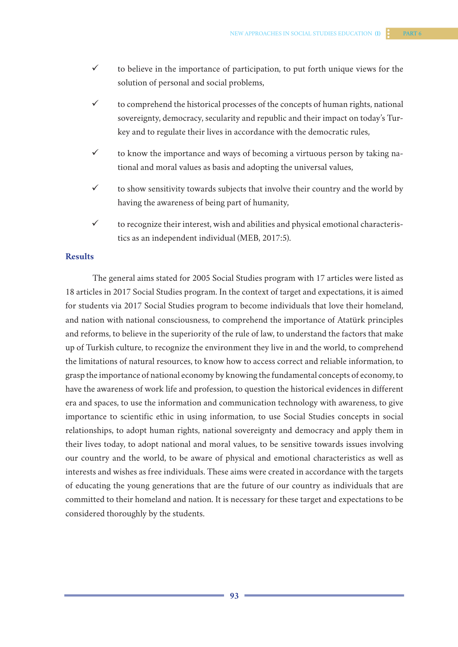- $\checkmark$  to believe in the importance of participation, to put forth unique views for the solution of personal and social problems,
- $\checkmark$  to comprehend the historical processes of the concepts of human rights, national sovereignty, democracy, secularity and republic and their impact on today's Turkey and to regulate their lives in accordance with the democratic rules,
- $\checkmark$  to know the importance and ways of becoming a virtuous person by taking national and moral values as basis and adopting the universal values,
- $\checkmark$  to show sensitivity towards subjects that involve their country and the world by having the awareness of being part of humanity,
- $\checkmark$  to recognize their interest, wish and abilities and physical emotional characteristics as an independent individual (MEB, 2017:5).

# **Results**

The general aims stated for 2005 Social Studies program with 17 articles were listed as 18 articles in 2017 Social Studies program. In the context of target and expectations, it is aimed for students via 2017 Social Studies program to become individuals that love their homeland, and nation with national consciousness, to comprehend the importance of Atatürk principles and reforms, to believe in the superiority of the rule of law, to understand the factors that make up of Turkish culture, to recognize the environment they live in and the world, to comprehend the limitations of natural resources, to know how to access correct and reliable information, to grasp the importance of national economy by knowing the fundamental concepts of economy, to have the awareness of work life and profession, to question the historical evidences in different era and spaces, to use the information and communication technology with awareness, to give importance to scientific ethic in using information, to use Social Studies concepts in social relationships, to adopt human rights, national sovereignty and democracy and apply them in their lives today, to adopt national and moral values, to be sensitive towards issues involving our country and the world, to be aware of physical and emotional characteristics as well as interests and wishes as free individuals. These aims were created in accordance with the targets of educating the young generations that are the future of our country as individuals that are committed to their homeland and nation. It is necessary for these target and expectations to be considered thoroughly by the students.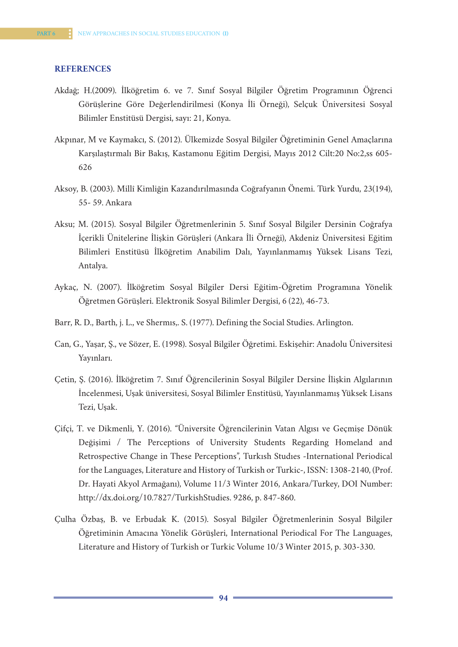#### **REFERENCES**

- Akdağ; H.(2009). İlköğretim 6. ve 7. Sınıf Sosyal Bilgiler Öğretim Programının Öğrenci Görüşlerine Göre Değerlendirilmesi (Konya İli Örneği), Selçuk Üniversitesi Sosyal Bilimler Enstitüsü Dergisi, sayı: 21, Konya.
- Akpınar, M ve Kaymakcı, S. (2012). Ülkemizde Sosyal Bilgiler Öğretiminin Genel Amaçlarına Karşılaştırmalı Bir Bakış, Kastamonu Eğitim Dergisi, Mayıs 2012 Cilt:20 No:2,ss 605- 626
- Aksoy, B. (2003). Millî Kimliğin Kazandırılmasında Coğrafyanın Önemi. Türk Yurdu, 23(194), 55- 59. Ankara
- Aksu; M. (2015). Sosyal Bilgiler Öğretmenlerinin 5. Sınıf Sosyal Bilgiler Dersinin Coğrafya İçerikli Ünitelerine İlişkin Görüşleri (Ankara İli Örneği), Akdeniz Üniversitesi Eğitim Bilimleri Enstitüsü İlköğretim Anabilim Dalı, Yayınlanmamış Yüksek Lisans Tezi, Antalya.
- Aykaç, N. (2007). İlköğretim Sosyal Bilgiler Dersi Eğitim-Öğretim Programına Yönelik Öğretmen Görüşleri. Elektronik Sosyal Bilimler Dergisi, 6 (22), 46-73.
- Barr, R. D., Barth, j. L., ve Shermıs,. S. (1977). Defining the Social Studies. Arlington.
- Can, G., Yaşar, Ş., ve Sözer, E. (1998). Sosyal Bilgiler Öğretimi. Eskişehir: Anadolu Üniversitesi Yayınları.
- Çetin, Ş. (2016). İlköğretim 7. Sınıf Öğrencilerinin Sosyal Bilgiler Dersine İlişkin Algılarının İncelenmesi, Uşak üniversitesi, Sosyal Bilimler Enstitüsü, Yayınlanmamış Yüksek Lisans Tezi, Uşak.
- Çifçi, T. ve Dikmenli, Y. (2016). "Üniversite Öğrencilerinin Vatan Algısı ve Geçmişe Dönük Değişimi / The Perceptions of University Students Regarding Homeland and Retrospective Change in These Perceptions", Turkısh Studıes -International Periodical for the Languages, Literature and History of Turkish or Turkic-, ISSN: 1308-2140, (Prof. Dr. Hayati Akyol Armağanı), Volume 11/3 Winter 2016, Ankara/Turkey, DOI Number: http://dx.doi.org/10.7827/TurkishStudies. 9286, p. 847-860.
- Çulha Özbaş, B. ve Erbudak K. (2015). Sosyal Bilgiler Öğretmenlerinin Sosyal Bilgiler Öğretiminin Amacına Yönelik Görüşleri, International Periodical For The Languages, Literature and History of Turkish or Turkic Volume 10/3 Winter 2015, p. 303-330.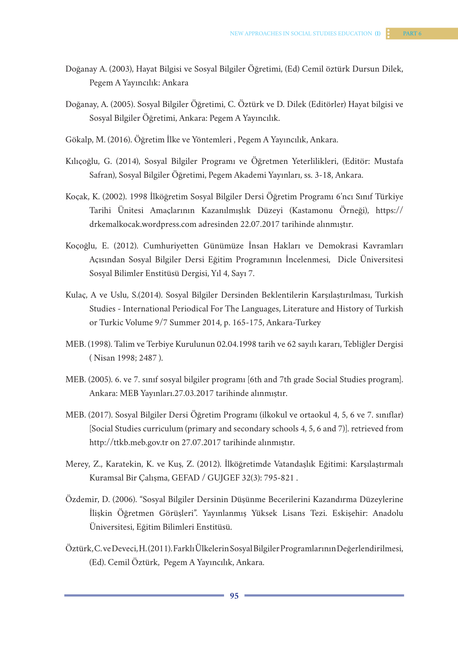- Doğanay A. (2003), Hayat Bilgisi ve Sosyal Bilgiler Öğretimi, (Ed) Cemil öztürk Dursun Dilek, Pegem A Yayıncılık: Ankara
- Doğanay, A. (2005). Sosyal Bilgiler Öğretimi, C. Öztürk ve D. Dilek (Editörler) Hayat bilgisi ve Sosyal Bilgiler Öğretimi, Ankara: Pegem A Yayıncılık.
- Gökalp, M. (2016). Öğretim İlke ve Yöntemleri , Pegem A Yayıncılık, Ankara.
- Kılıçoğlu, G. (2014), Sosyal Bilgiler Programı ve Öğretmen Yeterlilikleri, (Editör: Mustafa Safran), Sosyal Bilgiler Öğretimi, Pegem Akademi Yayınları, ss. 3-18, Ankara.
- Koçak, K. (2002). 1998 İlköğretim Sosyal Bilgiler Dersi Öğretim Programı 6'ncı Sınıf Türkiye Tarihi Ünitesi Amaçlarının Kazanılmışlık Düzeyi (Kastamonu Örneği), https:// drkemalkocak.wordpress.com adresinden 22.07.2017 tarihinde alınmıştır.
- Koçoğlu, E. (2012). Cumhuriyetten Günümüze İnsan Hakları ve Demokrasi Kavramları Açısından Sosyal Bilgiler Dersi Eğitim Programının İncelenmesi, Dicle Üniversitesi Sosyal Bilimler Enstitüsü Dergisi, Yıl 4, Sayı 7.
- Kulaç, A ve Uslu, S.(2014). Sosyal Bilgiler Dersinden Beklentilerin Karşılaştırılması, Turkish Studies - International Periodical For The Languages, Literature and History of Turkish or Turkic Volume 9/7 Summer 2014, p. 165-175, Ankara-Turkey
- MEB. (1998). Talim ve Terbiye Kurulunun 02.04.1998 tarih ve 62 sayılı kararı, Tebliğler Dergisi ( Nisan 1998; 2487 ).
- MEB. (2005). 6. ve 7. sınıf sosyal bilgiler programı [6th and 7th grade Social Studies program]. Ankara: MEB Yayınları.27.03.2017 tarihinde alınmıştır.
- MEB. (2017). Sosyal Bilgiler Dersi Öğretim Programı (ilkokul ve ortaokul 4, 5, 6 ve 7. sınıflar) [Social Studies curriculum (primary and secondary schools 4, 5, 6 and 7)]. retrieved from http://ttkb.meb.gov.tr on 27.07.2017 tarihinde alınmıştır.
- Merey, Z., Karatekin, K. ve Kuş, Z. (2012). İlköğretimde Vatandaşlık Eğitimi: Karşılaştırmalı Kuramsal Bir Çalışma, GEFAD / GUJGEF 32(3): 795-821 .
- Özdemir, D. (2006). "Sosyal Bilgiler Dersinin Düşünme Becerilerini Kazandırma Düzeylerine İlişkin Öğretmen Görüşleri". Yayınlanmış Yüksek Lisans Tezi. Eskişehir: Anadolu Üniversitesi, Eğitim Bilimleri Enstitüsü.
- Öztürk, C. ve Deveci, H. (2011). Farklı Ülkelerin Sosyal Bilgiler Programlarının Değerlendirilmesi, (Ed). Cemil Öztürk, Pegem A Yayıncılık, Ankara.